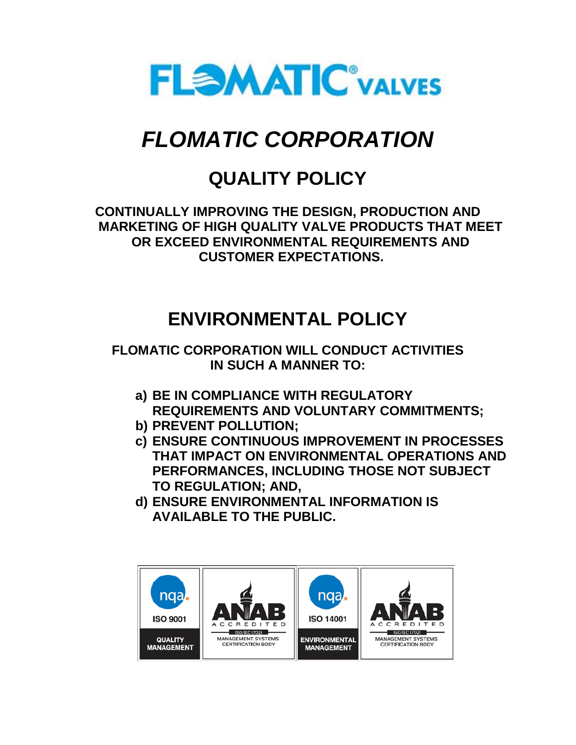

# *FLOMATIC CORPORATION*

# **QUALITY POLICY**

**CONTINUALLY IMPROVING THE DESIGN, PRODUCTION AND MARKETING OF HIGH QUALITY VALVE PRODUCTS THAT MEET OR EXCEED ENVIRONMENTAL REQUIREMENTS AND CUSTOMER EXPECTATIONS.**

# **ENVIRONMENTAL POLICY**

**FLOMATIC CORPORATION WILL CONDUCT ACTIVITIES IN SUCH A MANNER TO:**

- **a) BE IN COMPLIANCE WITH REGULATORY REQUIREMENTS AND VOLUNTARY COMMITMENTS;**
- **b) PREVENT POLLUTION;**
- **c) ENSURE CONTINUOUS IMPROVEMENT IN PROCESSES THAT IMPACT ON ENVIRONMENTAL OPERATIONS AND PERFORMANCES, INCLUDING THOSE NOT SUBJECT TO REGULATION; AND,**
- **d) ENSURE ENVIRONMENTAL INFORMATION IS AVAILABLE TO THE PUBLIC.**

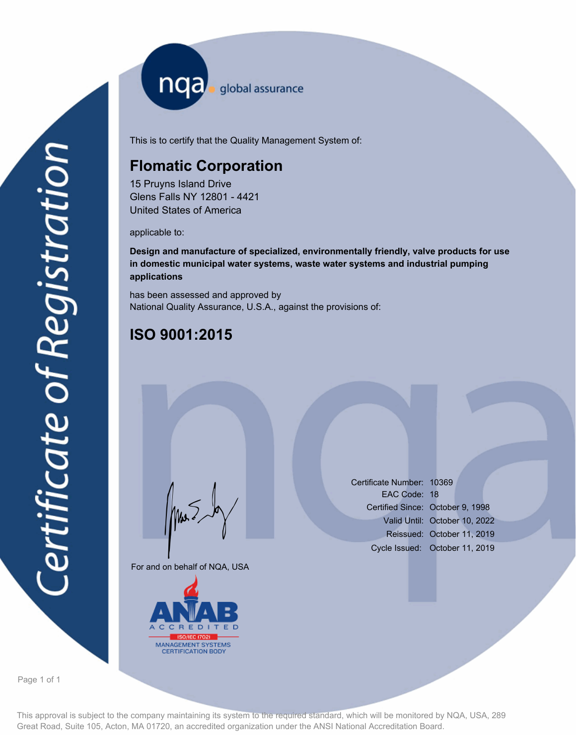nqa <sub>global</sub> assurance

This is to certify that the Quality Management System of:

#### **Flomatic Corporation**

15 Pruyns Island Drive Glens Falls NY 12801 - 4421 United States of America

applicable to:

**Design and manufacture of specialized, environmentally friendly, valve products for use in domestic municipal water systems, waste water systems and industrial pumping applications**

has been assessed and approved by National Quality Assurance, U.S.A., against the provisions of:

### **ISO 9001:2015**

For and on behalf of NQA, USA

Mus



Certificate Number: 10369 EAC Code: 18 Certified Since: October 9, 1998 Valid Until: October 10, 2022 Reissued: October 11, 2019 Cycle Issued: October 11, 2019

Page 1 of 1

This approval is subject to the company maintaining its system to the required standard, which will be monitored by NQA, USA, 289 Great Road, Suite 105, Acton, MA 01720, an accredited organization under the ANSI National Accreditation Board.